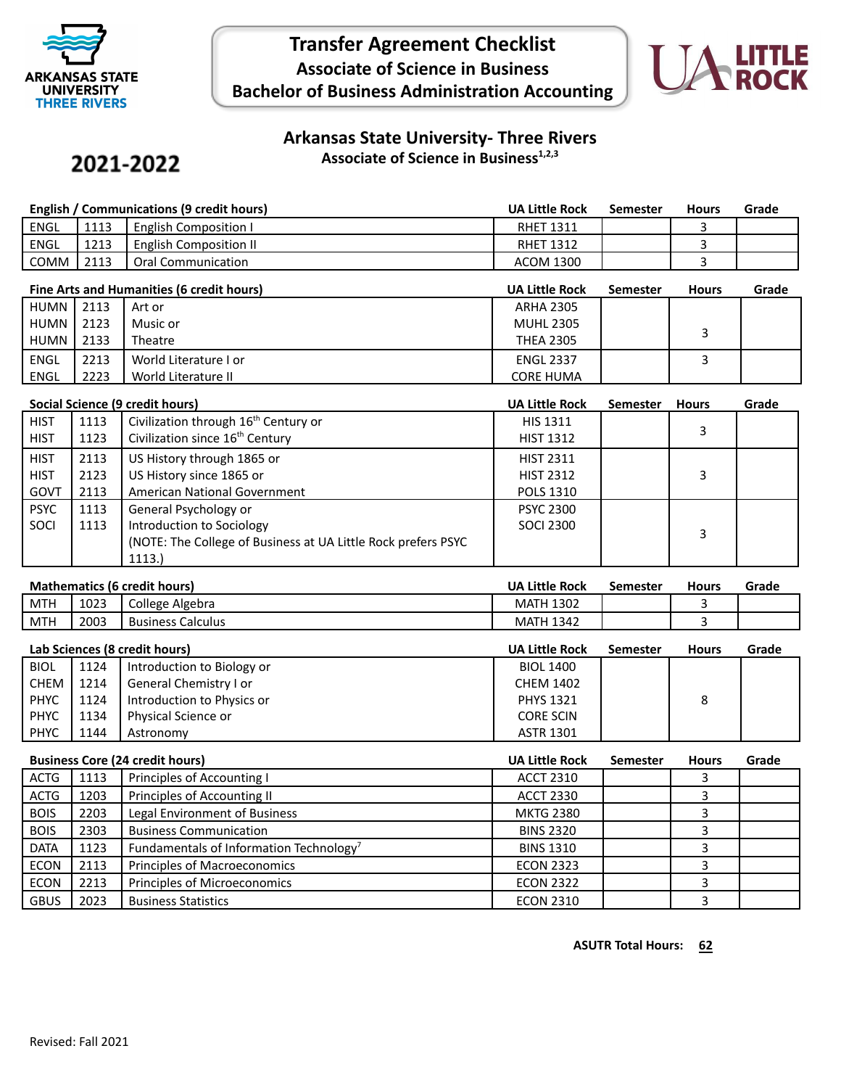

## **Transfer Agreement Checklist Associate of Science in Business Bachelor of Business Administration Accounting**



#### **Arkansas State University- Three Rivers Associate of Science in Business1,2,3**

# 2021-2022

|      | English / Communications (9 credit hours) |                               |                  | Semester | <b>Hours</b> | Grade |
|------|-------------------------------------------|-------------------------------|------------------|----------|--------------|-------|
| ENGL | 1113                                      | <b>English Composition I</b>  | <b>RHET 1311</b> |          |              |       |
| ENGL | 1213                                      | <b>English Composition II</b> | <b>RHET 1312</b> |          |              |       |
| COMM | 2113                                      | <b>Oral Communication</b>     | ACOM 1300        |          |              |       |

| Fine Arts and Humanities (6 credit hours) |       | <b>UA Little Rock</b> | Semester         | <b>Hours</b> | Grade |  |
|-------------------------------------------|-------|-----------------------|------------------|--------------|-------|--|
| HUMN                                      | 12113 | Art or                | <b>ARHA 2305</b> |              |       |  |
| HUMN                                      | 2123  | Music or              | <b>MUHL 2305</b> |              |       |  |
| HUMN                                      | 2133  | Theatre               | <b>THEA 2305</b> |              |       |  |
| <b>ENGL</b>                               | 2213  | World Literature I or | <b>ENGL 2337</b> |              |       |  |
| <b>ENGL</b>                               | 2223  | World Literature II   | <b>CORE HUMA</b> |              |       |  |

| Social Science (9 credit hours) |      |                                                                | <b>UA Little Rock</b> | <b>Semester</b> | <b>Hours</b> | Grade |
|---------------------------------|------|----------------------------------------------------------------|-----------------------|-----------------|--------------|-------|
| <b>HIST</b>                     | 1113 | Civilization through 16 <sup>th</sup> Century or               | <b>HIS 1311</b>       |                 |              |       |
| <b>HIST</b>                     | 1123 | Civilization since 16 <sup>th</sup> Century                    | <b>HIST 1312</b>      |                 | 3            |       |
| <b>HIST</b>                     | 2113 | US History through 1865 or                                     | <b>HIST 2311</b>      |                 |              |       |
| <b>HIST</b>                     | 2123 | US History since 1865 or                                       | <b>HIST 2312</b>      |                 | 3            |       |
| GOVT                            | 2113 | American National Government                                   | <b>POLS 1310</b>      |                 |              |       |
| <b>PSYC</b>                     | 1113 | General Psychology or                                          | <b>PSYC 2300</b>      |                 |              |       |
| SOCI                            | 1113 | Introduction to Sociology                                      | SOCI 2300             |                 | 3            |       |
|                                 |      | (NOTE: The College of Business at UA Little Rock prefers PSYC) |                       |                 |              |       |
|                                 |      | 1113.                                                          |                       |                 |              |       |

| <b>Mathematics (6 credit hours)</b> |      |                          | <b>UA Little Rock</b> | Semester | <b>Hours</b> | Grade |
|-------------------------------------|------|--------------------------|-----------------------|----------|--------------|-------|
| <b>MTH</b>                          | 1023 | College Algebra          | <b>MATH 1302</b>      |          |              |       |
| <b>MTH</b>                          | 2003 | <b>Business Calculus</b> | <b>MATH 1342</b>      |          |              |       |

| Lab Sciences (8 credit hours) |      | <b>UA Little Rock</b>      | Semester         | <b>Hours</b> | Grade |  |
|-------------------------------|------|----------------------------|------------------|--------------|-------|--|
| <b>BIOL</b>                   | 1124 | Introduction to Biology or | <b>BIOL 1400</b> |              |       |  |
| CHEM                          | 1214 | General Chemistry I or     | <b>CHEM 1402</b> |              |       |  |
| <b>PHYC</b>                   | 1124 | Introduction to Physics or | <b>PHYS 1321</b> |              | 8     |  |
| <b>PHYC</b>                   | 1134 | Physical Science or        | <b>CORE SCIN</b> |              |       |  |
| <b>PHYC</b>                   | 1144 | Astronomy                  | <b>ASTR 1301</b> |              |       |  |

| <b>Business Core (24 credit hours)</b> |      | <b>UA Little Rock</b>                               | <b>Semester</b>  | <b>Hours</b> | Grade |  |
|----------------------------------------|------|-----------------------------------------------------|------------------|--------------|-------|--|
| <b>ACTG</b>                            | 1113 | Principles of Accounting I                          | <b>ACCT 2310</b> |              |       |  |
| ACTG                                   | 1203 | Principles of Accounting II                         | <b>ACCT 2330</b> |              |       |  |
| <b>BOIS</b>                            | 2203 | Legal Environment of Business                       | <b>MKTG 2380</b> |              |       |  |
| <b>BOIS</b>                            | 2303 | <b>Business Communication</b>                       | <b>BINS 2320</b> |              |       |  |
| <b>DATA</b>                            | 1123 | Fundamentals of Information Technology <sup>7</sup> | <b>BINS 1310</b> |              |       |  |
| <b>ECON</b>                            | 2113 | <b>Principles of Macroeconomics</b>                 | <b>ECON 2323</b> |              |       |  |
| <b>ECON</b>                            | 2213 | Principles of Microeconomics                        | <b>ECON 2322</b> |              |       |  |
| <b>GBUS</b>                            | 2023 | <b>Business Statistics</b>                          | <b>ECON 2310</b> |              |       |  |

**ASUTR Total Hours: 62**